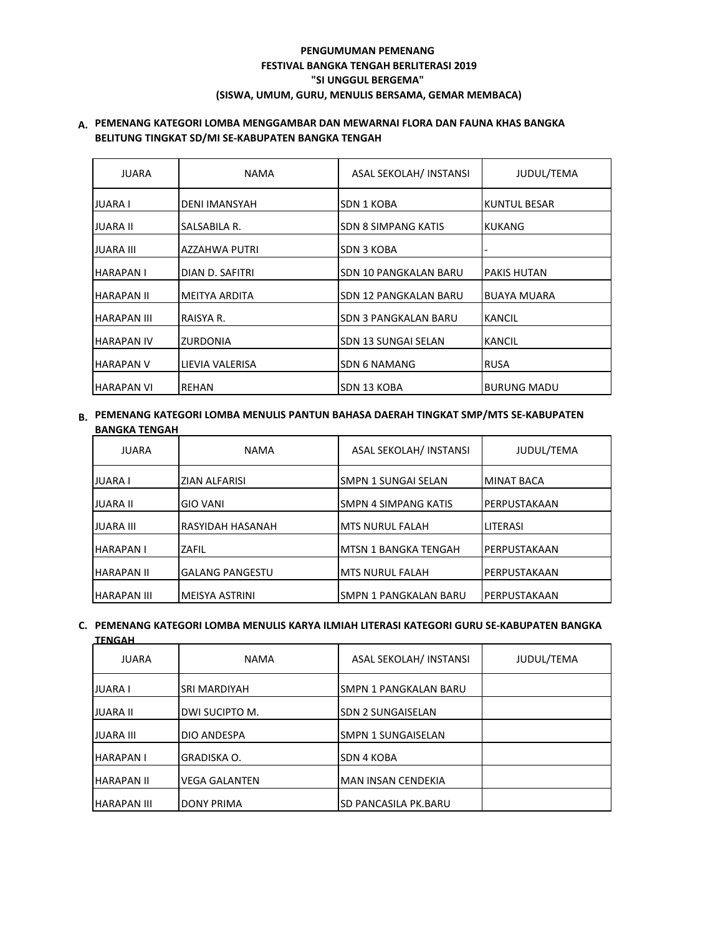# **PENGUMUMAN PEMENANG FESTIVAL BANGKA TENGAH BERLITERASI 2019 "SI UNGGUL BERGEMA" (SISWA, UMUM, GURU, MENULIS BERSAMA, GEMAR MEMBACA)**

## **A. PEMENANG KATEGORI LOMBA MENGGAMBAR DAN MEWARNAI FLORA DAN FAUNA KHAS BANGKA BELITUNG TINGKAT SD/MI SE-KABUPATEN BANGKA TENGAH**

| <b>JUARA</b>       | <b>NAMA</b>          | ASAL SEKOLAH/ INSTANSI     | JUDUL/TEMA         |
|--------------------|----------------------|----------------------------|--------------------|
| <b>JUARA I</b>     | <b>DENI IMANSYAH</b> | SDN 1 KOBA                 | KUNTUL BESAR       |
| JUARA II           | SALSABILA R.         | <b>SDN 8 SIMPANG KATIS</b> | KUKANG             |
| <b>JUARA III</b>   | <b>AZZAHWA PUTRI</b> | SDN 3 KOBA                 |                    |
| <b>HARAPANI</b>    | DIAN D. SAFITRI      | SDN 10 PANGKALAN BARU      | PAKIS HUTAN        |
| <b>HARAPAN II</b>  | IMEITYA ARDITA       | SDN 12 PANGKALAN BARU      | <b>BUAYA MUARA</b> |
| <b>HARAPAN III</b> | RAISYA R.            | SDN 3 PANGKALAN BARU       | <b>KANCIL</b>      |
| <b>HARAPAN IV</b>  | <b>ZURDONIA</b>      | SDN 13 SUNGAI SELAN        | <b>KANCIL</b>      |
| <b>HARAPAN V</b>   | LIEVIA VALERISA      | <b>SDN 6 NAMANG</b>        | <b>RUSA</b>        |
| <b>HARAPAN VI</b>  | REHAN                | SDN 13 KOBA                | <b>BURUNG MADU</b> |

**B. PEMENANG KATEGORI LOMBA MENULIS PANTUN BAHASA DAERAH TINGKAT SMP/MTS SE-KABUPATEN BANGKA TENGAH**

| <b>JUARA</b>       | <b>NAMA</b>            | ASAL SEKOLAH/ INSTANSI      | JUDUL/TEMA        |
|--------------------|------------------------|-----------------------------|-------------------|
| <b>JUARA I</b>     | <b>ZIAN ALFARISI</b>   | SMPN 1 SUNGAI SELAN         | <b>MINAT BACA</b> |
| <b>JUARA II</b>    | <b>GIO VANI</b>        | SMPN 4 SIMPANG KATIS        | IPERPUSTAKAAN     |
| <b>JUARA III</b>   | RASYIDAH HASANAH       | <b>MTS NURUL FALAH</b>      | <b>LITERASI</b>   |
| <b>HARAPANI</b>    | ZAFIL                  | <b>MTSN 1 BANGKA TENGAH</b> | PERPUSTAKAAN      |
| <b>HARAPAN II</b>  | <b>GALANG PANGESTU</b> | <b>MTS NURUL FALAH</b>      | PERPUSTAKAAN      |
| <b>HARAPAN III</b> | MEISYA ASTRINI         | SMPN 1 PANGKALAN BARU       | IPERPUSTAKAAN     |

## **C. PEMENANG KATEGORI LOMBA MENULIS KARYA ILMIAH LITERASI KATEGORI GURU SE-KABUPATEN BANGKA**

| <b>TENGAH</b>      |                      |                           |            |
|--------------------|----------------------|---------------------------|------------|
| <b>JUARA</b>       | <b>NAMA</b>          | ASAL SEKOLAH/ INSTANSI    | JUDUL/TEMA |
| <b>JUARA I</b>     | <b>SRI MARDIYAH</b>  | SMPN 1 PANGKALAN BARU     |            |
| <b>JUARA II</b>    | DWI SUCIPTO M.       | <b>SDN 2 SUNGAISELAN</b>  |            |
| <b>JUARA III</b>   | <b>DIO ANDESPA</b>   | <b>SMPN 1 SUNGAISELAN</b> |            |
| <b>HARAPAN I</b>   | <b>GRADISKA O.</b>   | SDN 4 KOBA                |            |
| <b>HARAPAN II</b>  | <b>VEGA GALANTEN</b> | <b>MAN INSAN CENDEKIA</b> |            |
| <b>HARAPAN III</b> | <b>DONY PRIMA</b>    | SD PANCASILA PK.BARU      |            |